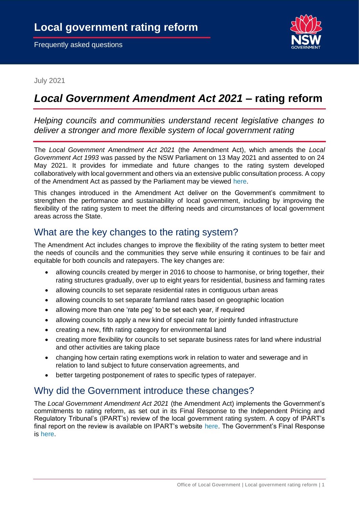

July 2021

# *Local Government Amendment Act 2021* **– rating reform**

*Helping councils and communities understand recent legislative changes to deliver a stronger and more flexible system of local government rating*

The *Local Government Amendment Act 2021* (the Amendment Act), which amends the *Local Government Act 1993* was passed by the NSW Parliament on 13 May 2021 and assented to on 24 May 2021. It provides for immediate and future changes to the rating system developed collaboratively with local government and others via an extensive public consultation process. A copy of the Amendment Act as passed by the Parliament may be viewed [here.](https://legislation.nsw.gov.au/view/pdf/asmade/act-2021-11)

This changes introduced in the Amendment Act deliver on the Government's commitment to strengthen the performance and sustainability of local government, including by improving the flexibility of the rating system to meet the differing needs and circumstances of local government areas across the State.

### What are the key changes to the rating system?

The Amendment Act includes changes to improve the flexibility of the rating system to better meet the needs of councils and the communities they serve while ensuring it continues to be fair and equitable for both councils and ratepayers. The key changes are:

- allowing councils created by merger in 2016 to choose to harmonise, or bring together, their rating structures gradually, over up to eight years for residential, business and farming rates
- allowing councils to set separate residential rates in contiguous urban areas
- allowing councils to set separate farmland rates based on geographic location
- allowing more than one 'rate peg' to be set each year, if required
- allowing councils to apply a new kind of special rate for jointly funded infrastructure
- creating a new, fifth rating category for environmental land
- creating more flexibility for councils to set separate business rates for land where industrial and other activities are taking place
- changing how certain rating exemptions work in relation to water and sewerage and in relation to land subject to future conservation agreements, and
- better targeting postponement of rates to specific types of ratepayer.

# Why did the Government introduce these changes?

The *Local Government Amendment Act 2021* (the Amendment Act) implements the Government's commitments to rating reform, as set out in its Final Response to the Independent Pricing and Regulatory Tribunal's (IPART's) review of the local government rating system. A copy of IPART's final report on the review is available on IPART's website [here.](https://www.ipart.nsw.gov.au/files/sharedassets/website/shared-files/investigation-section-9-legislative-review-of-the-local-government-rating-system/final-report-review-of-the-local-government-rating-system-december-2016.pdf) The Government's Final Response is [here.](https://www.olg.nsw.gov.au/wp-content/uploads/2020/06/IPART-Rating-Review-Government-Response.pdf)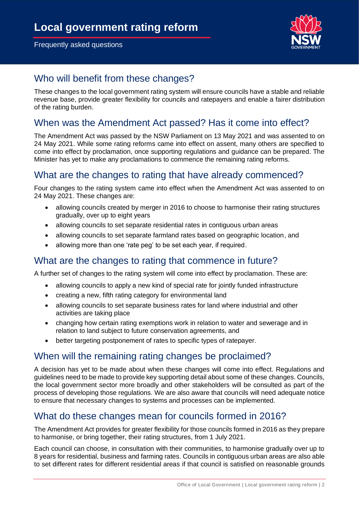

# Who will benefit from these changes?

These changes to the local government rating system will ensure councils have a stable and reliable revenue base, provide greater flexibility for councils and ratepayers and enable a fairer distribution of the rating burden.

# When was the Amendment Act passed? Has it come into effect?

The Amendment Act was passed by the NSW Parliament on 13 May 2021 and was assented to on 24 May 2021. While some rating reforms came into effect on assent, many others are specified to come into effect by proclamation, once supporting regulations and guidance can be prepared. The Minister has yet to make any proclamations to commence the remaining rating reforms.

### What are the changes to rating that have already commenced?

Four changes to the rating system came into effect when the Amendment Act was assented to on 24 May 2021. These changes are:

- allowing councils created by merger in 2016 to choose to harmonise their rating structures gradually, over up to eight years
- allowing councils to set separate residential rates in contiguous urban areas
- allowing councils to set separate farmland rates based on geographic location, and
- allowing more than one 'rate peg' to be set each year, if required.

# What are the changes to rating that commence in future?

A further set of changes to the rating system will come into effect by proclamation. These are:

- allowing councils to apply a new kind of special rate for jointly funded infrastructure
- creating a new, fifth rating category for environmental land
- allowing councils to set separate business rates for land where industrial and other activities are taking place
- changing how certain rating exemptions work in relation to water and sewerage and in relation to land subject to future conservation agreements, and
- better targeting postponement of rates to specific types of ratepayer.

#### When will the remaining rating changes be proclaimed?

A decision has yet to be made about when these changes will come into effect. Regulations and guidelines need to be made to provide key supporting detail about some of these changes. Councils, the local government sector more broadly and other stakeholders will be consulted as part of the process of developing those regulations. We are also aware that councils will need adequate notice to ensure that necessary changes to systems and processes can be implemented.

# What do these changes mean for councils formed in 2016?

The Amendment Act provides for greater flexibility for those councils formed in 2016 as they prepare to harmonise, or bring together, their rating structures, from 1 July 2021.

Each council can choose, in consultation with their communities, to harmonise gradually over up to 8 years for residential, business and farming rates. Councils in contiguous urban areas are also able to set different rates for different residential areas if that council is satisfied on reasonable grounds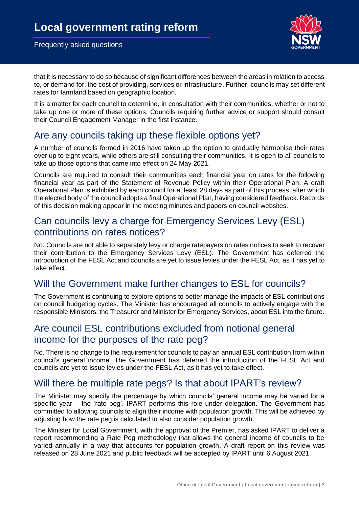

that it is necessary to do so because of significant differences between the areas in relation to access to, or demand for, the cost of providing, services or infrastructure. Further, councils may set different rates for farmland based on geographic location.

It is a matter for each council to determine, in consultation with their communities, whether or not to take up one or more of these options. Councils requiring further advice or support should consult their Council Engagement Manager in the first instance.

### Are any councils taking up these flexible options yet?

A number of councils formed in 2016 have taken up the option to gradually harmonise their rates over up to eight years, while others are still consulting their communities. It is open to all councils to take up those options that came into effect on 24 May 2021.

Councils are required to consult their communities each financial year on rates for the following financial year as part of the Statement of Revenue Policy within their Operational Plan. A draft Operational Plan is exhibited by each council for at least 28 days as part of this process, after which the elected body of the council adopts a final Operational Plan, having considered feedback. Records of this decision making appear in the meeting minutes and papers on council websites.

#### Can councils levy a charge for Emergency Services Levy (ESL) contributions on rates notices?

No. Councils are not able to separately levy or charge ratepayers on rates notices to seek to recover their contribution to the Emergency Services Levy (ESL). The Government has deferred the introduction of the FESL Act and councils are yet to issue levies under the FESL Act, as it has yet to take effect.

#### Will the Government make further changes to ESL for councils?

The Government is continuing to explore options to better manage the impacts of ESL contributions on council budgeting cycles. The Minister has encouraged all councils to actively engage with the responsible Ministers, the Treasurer and Minister for Emergency Services, about ESL into the future.

### Are council ESL contributions excluded from notional general income for the purposes of the rate peg?

No. There is no change to the requirement for councils to pay an annual ESL contribution from within council's general income. The Government has deferred the introduction of the FESL Act and councils are yet to issue levies under the FESL Act, as it has yet to take effect.

# Will there be multiple rate pegs? Is that about IPART's review?

The Minister may specify the percentage by which councils' general income may be varied for a specific year – the 'rate peg'. IPART performs this role under delegation. The Government has committed to allowing councils to align their income with population growth. This will be achieved by adjusting how the rate peg is calculated to also consider population growth.

The Minister for Local Government, with the approval of the Premier, has asked IPART to deliver a report recommending a Rate Peg methodology that allows the general income of councils to be varied annually in a way that accounts for population growth. A draft report on this review was released on 28 June 2021 and public feedback will be accepted by IPART until 6 August 2021.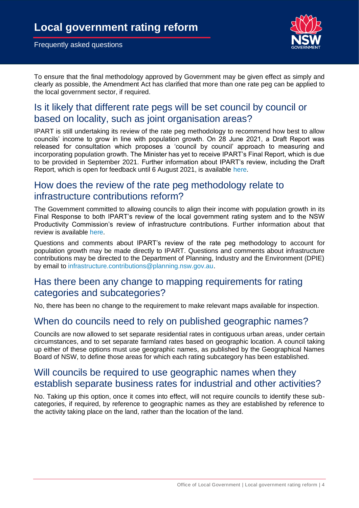

To ensure that the final methodology approved by Government may be given effect as simply and clearly as possible, the Amendment Act has clarified that more than one rate peg can be applied to the local government sector, if required.

# Is it likely that different rate pegs will be set council by council or based on locality, such as joint organisation areas?

IPART is still undertaking its review of the rate peg methodology to recommend how best to allow councils' income to grow in line with population growth. On 28 June 2021, a Draft Report was released for consultation which proposes a 'council by council' approach to measuring and incorporating population growth. The Minister has yet to receive IPART's Final Report, which is due to be provided in September 2021. Further information about IPART's review, including the Draft Report, which is open for feedback until 6 August 2021, is available [here.](https://www.ipart.nsw.gov.au/Home/Industries/Local-Government/Reviews/Rate-peg-population-growth/Review-of-the-rate-peg-to-include-population-growth)

# How does the review of the rate peg methodology relate to infrastructure contributions reform?

The Government committed to allowing councils to align their income with population growth in its Final Response to both IPART's review of the local government rating system and to the NSW Productivity Commission's review of infrastructure contributions. Further information about that review is available [here.](https://www.productivity.nsw.gov.au/infrastructure-contributions-review)

Questions and comments about IPART's review of the rate peg methodology to account for population growth may be made directly to IPART. Questions and comments about infrastructure contributions may be directed to the Department of Planning, Industry and the Environment (DPIE) by email to [infrastructure.contributions@planning.nsw.gov.au.](mailto:infrastructure.contributions@planning.nsw.gov.au)

### Has there been any change to mapping requirements for rating categories and subcategories?

No, there has been no change to the requirement to make relevant maps available for inspection.

#### When do councils need to rely on published geographic names?

Councils are now allowed to set separate residential rates in contiguous urban areas, under certain circumstances, and to set separate farmland rates based on geographic location. A council taking up either of these options must use geographic names, as published by the Geographical Names Board of NSW, to define those areas for which each rating subcategory has been established.

#### Will councils be required to use geographic names when they establish separate business rates for industrial and other activities?

No. Taking up this option, once it comes into effect, will not require councils to identify these subcategories, if required, by reference to geographic names as they are established by reference to the activity taking place on the land, rather than the location of the land.